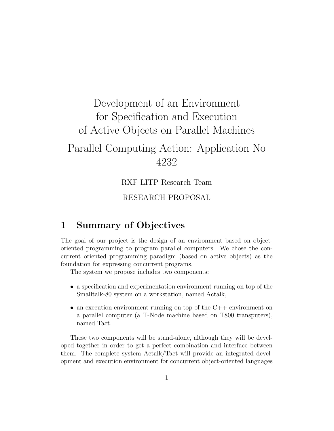# Development of an Environment for Specification and Execution of Active Objects on Parallel Machines Parallel Computing Action: Application No 4232

RXF-LITP Research Team

### RESEARCH PROPOSAL

### 1 Summary of Objectives

The goal of our project is the design of an environment based on objectoriented programming to program parallel computers. We chose the concurrent oriented programming paradigm (based on active objects) as the foundation for expressing concurrent programs.

The system we propose includes two components:

- a specification and experimentation environment running on top of the Smalltalk-80 system on a workstation, named Actalk,
- an execution environment running on top of the  $C++$  environment on a parallel computer (a T-Node machine based on T800 transputers), named Tact.

These two components will be stand-alone, although they will be developed together in order to get a perfect combination and interface between them. The complete system Actalk/Tact will provide an integrated development and execution environment for concurrent object-oriented languages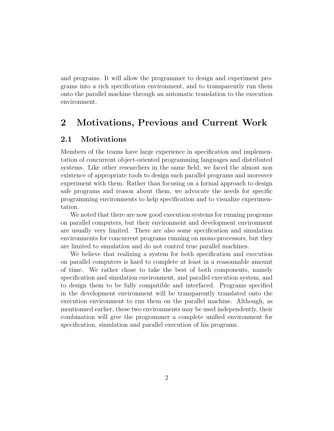and programs. It will allow the programmer to design and experiment programs into a rich specification environment, and to transparently run them onto the parallel machine through an automatic translation to the execution environment.

### 2 Motivations, Previous and Current Work

#### 2.1 Motivations

Members of the teams have large experience in specification and implementation of concurrent object-oriented programming languages and distributed systems. Like other researchers in the same field, we faced the almost non existence of appropriate tools to design such parallel programs and moreover experiment with them. Rather than focusing on a formal approach to design safe programs and reason about them, we advocate the needs for specific programming environments to help specification and to visualize experimentation.

We noted that there are now good execution systems for running programs on parallel computers, but their environment and development environment are usually very limited. There are also some specification and simulation environments for concurrent programs running on mono-processors, but they are limited to simulation and do not control true parallel machines.

We believe that realizing a system for both specification and execution on parallel computers is hard to complete at least in a reasonnable amount of time. We rather chose to take the best of both components, namely specification and simulation environment, and parallel execution system, and to design them to be fully compatible and interfaced. Programs specified in the development environment will be transparently translated onto the execution environment to run them on the parallel machine. Although, as mentionned earlier, these two environments may be used independently, their combination will give the programmer a complete unified environment for specification, simulation and parallel execution of his programs.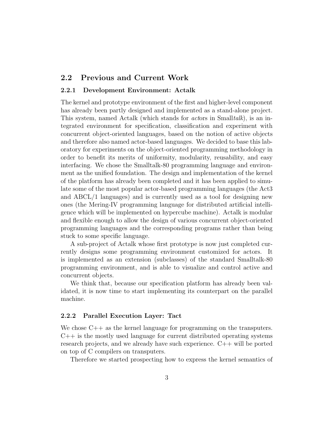#### 2.2 Previous and Current Work

#### 2.2.1 Development Environment: Actalk

The kernel and prototype environment of the first and higher-level component has already been partly designed and implemented as a stand-alone project. This system, named Actalk (which stands for *actors* in Smalltalk), is an integrated environment for specification, classification and experiment with concurrent object-oriented languages, based on the notion of active objects and therefore also named actor-based languages. We decided to base this laboratory for experiments on the object-oriented programming methodology in order to benefit its merits of uniformity, modularity, reusability, and easy interfacing. We chose the Smalltalk-80 programming language and environment as the unified foundation. The design and implementation of the kernel of the platform has already been completed and it has been applied to simulate some of the most popular actor-based programming languages (the Act3 and ABCL/1 languages) and is currently used as a tool for designing new ones (the Mering-IV programming language for distributed artificial intelligence which will be implemented on hypercube machine). Actalk is modular and flexible enough to allow the design of various concurrent object-oriented programming languages and the corresponding programs rather than being stuck to some specific language.

A sub-project of Actalk whose first prototype is now just completed currently designs some programming environment customized for actors. It is implemented as an extension (subclasses) of the standard Smalltalk-80 programming environment, and is able to visualize and control active and concurrent objects.

We think that, because our specification platform has already been validated, it is now time to start implementing its counterpart on the parallel machine.

#### 2.2.2 Parallel Execution Layer: Tact

We chose  $C_{++}$  as the kernel language for programming on the transputers.  $C_{++}$  is the mostly used language for current distributed operating systems research projects, and we already have such experience. C++ will be ported on top of C compilers on transputers.

Therefore we started prospecting how to express the kernel semantics of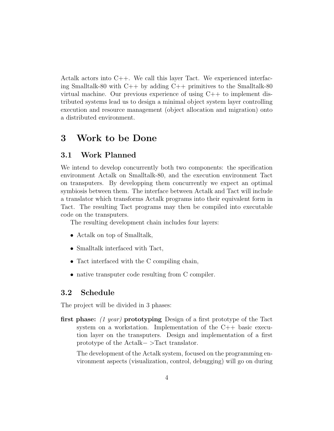Actalk actors into  $C_{++}$ . We call this layer Tact. We experienced interfacing Smalltalk-80 with  $C_{++}$  by adding  $C_{++}$  primitives to the Smalltalk-80 virtual machine. Our previous experience of using C++ to implement distributed systems lead us to design a minimal object system layer controlling execution and resource management (object allocation and migration) onto a distributed environment.

### 3 Work to be Done

#### 3.1 Work Planned

We intend to develop concurrently both two components: the specification environment Actalk on Smalltalk-80, and the execution environment Tact on transputers. By developping them concurrently we expect an optimal symbiosis between them. The interface between Actalk and Tact will include a translator which transforms Actalk programs into their equivalent form in Tact. The resulting Tact programs may then be compiled into executable code on the transputers.

The resulting development chain includes four layers:

- Actalk on top of Smalltalk,
- Smalltalk interfaced with Tact,
- Tact interfaced with the C compiling chain,
- native transputer code resulting from C compiler.

#### 3.2 Schedule

The project will be divided in 3 phases:

first phase: (1 year) prototyping Design of a first prototype of the Tact system on a workstation. Implementation of the C++ basic execution layer on the transputers. Design and implementation of a first prototype of the Actalk− >Tact translator.

The development of the Actalk system, focused on the programming environment aspects (visualization, control, debugging) will go on during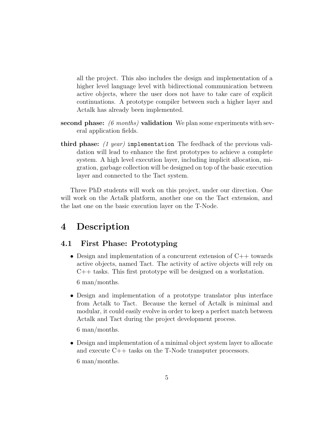all the project. This also includes the design and implementation of a higher level language level with bidirectional communication between active objects, where the user does not have to take care of explicit continuations. A prototype compiler between such a higher layer and Actalk has already been implemented.

- second phase:  $(6 \text{ months})$  validation We plan some experiments with several application fields.
- third phase:  $(1$  year) implementation The feedback of the previous validation will lead to enhance the first prototypes to achieve a complete system. A high level execution layer, including implicit allocation, migration, garbage collection will be designed on top of the basic execution layer and connected to the Tact system.

Three PhD students will work on this project, under our direction. One will work on the Actalk platform, another one on the Tact extension, and the last one on the basic execution layer on the T-Node.

### 4 Description

#### 4.1 First Phase: Prototyping

• Design and implementation of a concurrent extension of  $C++$  towards active objects, named Tact. The activity of active objects will rely on C++ tasks. This first prototype will be designed on a workstation.

6 man/months.

• Design and implementation of a prototype translator plus interface from Actalk to Tact. Because the kernel of Actalk is minimal and modular, it could easily evolve in order to keep a perfect match between Actalk and Tact during the project development process.

6 man/months.

• Design and implementation of a minimal object system layer to allocate and execute C++ tasks on the T-Node transputer processors.

6 man/months.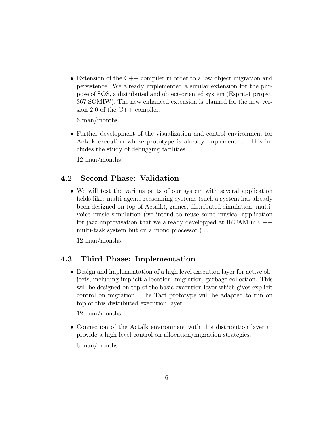• Extension of the C++ compiler in order to allow object migration and persistence. We already implemented a similar extension for the purpose of SOS, a distributed and object-oriented system (Esprit-1 project 367 SOMIW). The new enhanced extension is planned for the new version 2.0 of the  $C++$  compiler.

6 man/months.

• Further development of the visualization and control environment for Actalk execution whose prototype is already implemented. This includes the study of debugging facilities.

12 man/months.

### 4.2 Second Phase: Validation

• We will test the various parts of our system with several application fields like: multi-agents reasonning systems (such a system has already been designed on top of Actalk), games, distributed simulation, multivoice music simulation (we intend to reuse some musical application for jazz improvisation that we already developped at IRCAM in C++ multi-task system but on a mono processor.) ...

12 man/months.

#### 4.3 Third Phase: Implementation

• Design and implementation of a high level execution layer for active objects, including implicit allocation, migration, garbage collection. This will be designed on top of the basic execution layer which gives explicit control on migration. The Tact prototype will be adapted to run on top of this distributed execution layer.

12 man/months.

• Connection of the Actalk environment with this distribution layer to provide a high level control on allocation/migration strategies.

6 man/months.